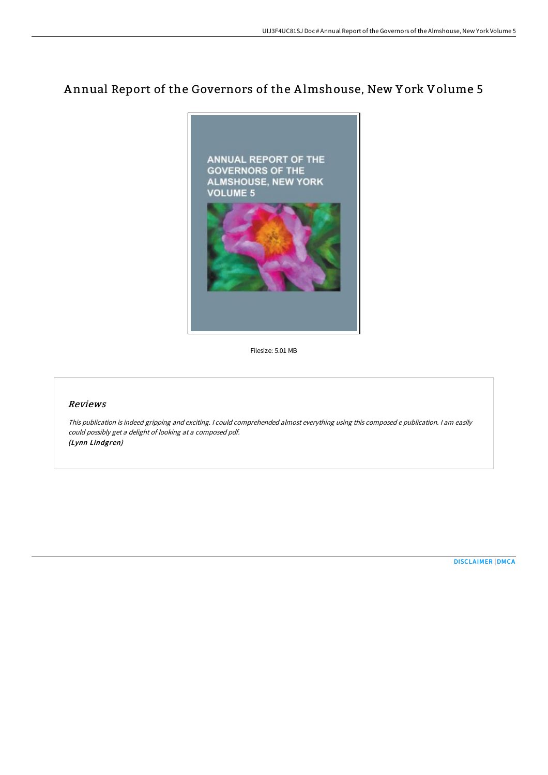# A nnual Report of the Governors of the A lmshouse, New Y ork Volume 5



Filesize: 5.01 MB

# Reviews

This publication is indeed gripping and exciting. I could comprehended almost everything using this composed <sup>e</sup> publication. I am easily could possibly get <sup>a</sup> delight of looking at <sup>a</sup> composed pdf. (Lynn Lindgren)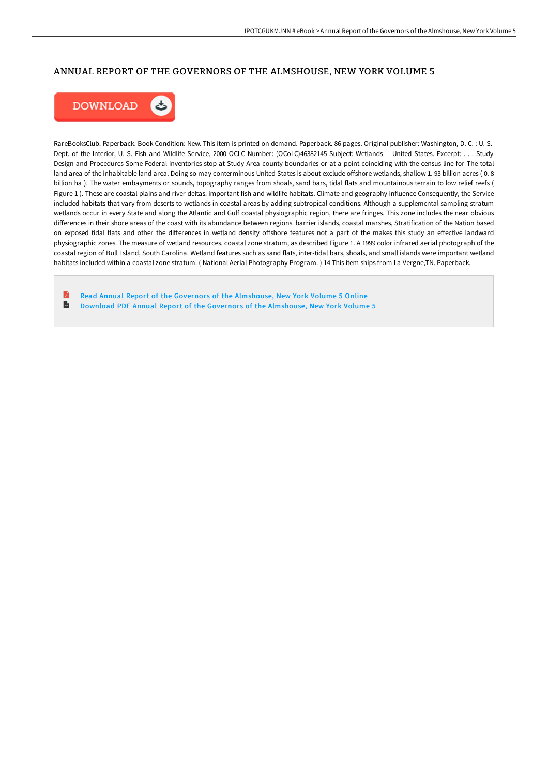#### ANNUAL REPORT OF THE GOVERNORS OF THE ALMSHOUSE, NEW YORK VOLUME 5



RareBooksClub. Paperback. Book Condition: New. This item is printed on demand. Paperback. 86 pages. Original publisher: Washington, D. C. : U. S. Dept. of the Interior, U. S. Fish and Wildlife Service, 2000 OCLC Number: (OCoLC)46382145 Subject: Wetlands -- United States. Excerpt: . . . Study Design and Procedures Some Federal inventories stop at Study Area county boundaries or at a point coinciding with the census line for The total land area of the inhabitable land area. Doing so may conterminous United States is about exclude offshore wetlands, shallow 1. 93 billion acres ( 0. 8 billion ha ). The water embayments or sounds, topography ranges from shoals, sand bars, tidal flats and mountainous terrain to low relief reefs ( Figure 1 ). These are coastal plains and river deltas. important fish and wildlife habitats. Climate and geography influence Consequently, the Service included habitats that vary from deserts to wetlands in coastal areas by adding subtropical conditions. Although a supplemental sampling stratum wetlands occur in every State and along the Atlantic and Gulf coastal physiographic region, there are fringes. This zone includes the near obvious differences in their shore areas of the coast with its abundance between regions. barrier islands, coastal marshes, Stratification of the Nation based on exposed tidal flats and other the differences in wetland density offshore features not a part of the makes this study an effective landward physiographic zones. The measure of wetland resources. coastal zone stratum, as described Figure 1. A 1999 color infrared aerial photograph of the coastal region of Bull I sland, South Carolina. Wetland features such as sand flats, inter-tidal bars, shoals, and small islands were important wetland habitats included within a coastal zone stratum. ( National Aerial Photography Program. ) 14 This item ships from La Vergne,TN. Paperback.

B Read Annual Report of the Governors of the [Almshouse,](http://bookera.tech/annual-report-of-the-governors-of-the-almshouse--2.html) New York Volume 5 Online  $\blacksquare$ Download PDF Annual Report of the Governors of the [Almshouse,](http://bookera.tech/annual-report-of-the-governors-of-the-almshouse--2.html) New York Volume 5